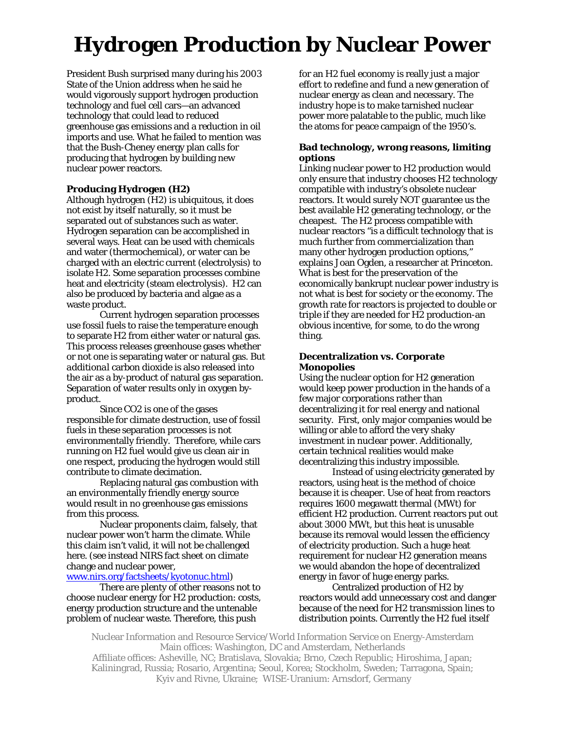# **Hydrogen Production by Nuclear Power**

President Bush surprised many during his 2003 State of the Union address when he said he would vigorously support hydrogen production technology and fuel cell cars—an advanced technology that could lead to reduced greenhouse gas emissions and a reduction in oil imports and use. What he failed to mention was that the Bush-Cheney energy plan calls for producing that hydrogen by building new nuclear power reactors.

# **Producing Hydrogen (H2)**

Although hydrogen (H2) is ubiquitous, it does not exist by itself naturally, so it must be separated out of substances such as water. Hydrogen separation can be accomplished in several ways. Heat can be used with chemicals and water (thermochemical), or water can be charged with an electric current (electrolysis) to isolate H2. Some separation processes combine heat and electricity (steam electrolysis). H2 can also be produced by bacteria and algae as a waste product.

Current hydrogen separation processes use fossil fuels to raise the temperature enough to separate H2 from either water or natural gas. This process releases greenhouse gases whether or not one is separating water or natural gas. But *additional* carbon dioxide is also released into the air as a by-product of natural gas separation. Separation of water results only in oxygen byproduct.

Since CO2 is one of the gases responsible for climate destruction, use of fossil fuels in these separation processes is not environmentally friendly. Therefore, while cars running on H2 fuel would give us clean air in one respect, producing the hydrogen would still contribute to climate decimation.

Replacing natural gas combustion with an environmentally friendly energy source would result in no greenhouse gas emissions from this process.

Nuclear proponents claim, falsely, that nuclear power won't harm the climate. While this claim isn't valid, it will not be challenged here. (see instead NIRS fact sheet on climate change and nuclear power,

[www.nirs.org/factsheets/kyotonuc.html\)](http://www.nirs.org/factsheets/kyotonuc.html)

There are plenty of other reasons not to choose nuclear energy for H2 production: costs, energy production structure and the untenable problem of nuclear waste. Therefore, this push

for an H2 fuel economy is really just a major effort to redefine and fund a new generation of nuclear energy as clean and necessary. The industry hope is to make tarnished nuclear power more palatable to the public, much like the atoms for peace campaign of the 1950's.

## **Bad technology, wrong reasons, limiting options**

Linking nuclear power to H2 production would only ensure that industry chooses H2 technology compatible with industry's obsolete nuclear reactors. It would surely NOT guarantee us the best available H2 generating technology, or the cheapest. The H2 process compatible with nuclear reactors "is a difficult technology that is much further from commercialization than many other hydrogen production options," explains Joan Ogden, a researcher at Princeton. What is best for the preservation of the economically bankrupt nuclear power industry is not what is best for society or the economy. The growth rate for reactors is projected to double or triple if they are needed for H2 production-an obvious incentive, for some, to do the wrong thing.

## **Decentralization vs. Corporate Monopolies**

Using the nuclear option for H2 generation would keep power production in the hands of a few major corporations rather than decentralizing it for real energy and national security. First, only major companies would be willing or able to afford the very shaky investment in nuclear power. Additionally, certain technical realities would make decentralizing this industry impossible.

Instead of using electricity generated by reactors, using heat is the method of choice because it is cheaper. Use of heat from reactors requires 1600 megawatt thermal (MWt) for efficient H2 production. Current reactors put out about 3000 MWt, but this heat is unusable because its removal would lessen the efficiency of electricity production. Such a huge heat requirement for nuclear H2 generation means we would abandon the hope of decentralized energy in favor of huge energy parks.

Centralized production of H2 by reactors would add unnecessary cost and danger because of the need for H2 transmission lines to distribution points. Currently the H2 fuel itself

Nuclear Information and Resource Service/World Information Service on Energy-Amsterdam Main offices: Washington, DC and Amsterdam, Netherlands

Affiliate offices: Asheville, NC; Bratislava, Slovakia; Brno, Czech Republic; Hiroshima, Japan; Kaliningrad, Russia; Rosario, Argentina; Seoul, Korea; Stockholm, Sweden; Tarragona, Spain; Kyiv and Rivne, Ukraine; WISE-Uranium: Arnsdorf, Germany